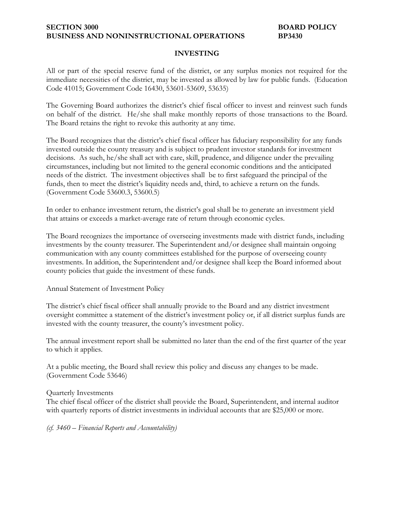### **SECTION 3000 BOARD POLICY BUSINESS AND NONINSTRUCTIONAL OPERATIONS BP3430**

### **INVESTING**

All or part of the special reserve fund of the district, or any surplus monies not required for the immediate necessities of the district, may be invested as allowed by law for public funds. (Education Code 41015; Government Code 16430, 53601-53609, 53635)

The Governing Board authorizes the district's chief fiscal officer to invest and reinvest such funds on behalf of the district. He/she shall make monthly reports of those transactions to the Board. The Board retains the right to revoke this authority at any time.

The Board recognizes that the district's chief fiscal officer has fiduciary responsibility for any funds invested outside the county treasury and is subject to prudent investor standards for investment decisions. As such, he/she shall act with care, skill, prudence, and diligence under the prevailing circumstances, including but not limited to the general economic conditions and the anticipated needs of the district. The investment objectives shall be to first safeguard the principal of the funds, then to meet the district's liquidity needs and, third, to achieve a return on the funds. (Government Code 53600.3, 53600.5)

In order to enhance investment return, the district's goal shall be to generate an investment yield that attains or exceeds a market-average rate of return through economic cycles.

The Board recognizes the importance of overseeing investments made with district funds, including investments by the county treasurer. The Superintendent and/or designee shall maintain ongoing communication with any county committees established for the purpose of overseeing county investments. In addition, the Superintendent and/or designee shall keep the Board informed about county policies that guide the investment of these funds.

Annual Statement of Investment Policy

The district's chief fiscal officer shall annually provide to the Board and any district investment oversight committee a statement of the district's investment policy or, if all district surplus funds are invested with the county treasurer, the county's investment policy.

The annual investment report shall be submitted no later than the end of the first quarter of the year to which it applies.

At a public meeting, the Board shall review this policy and discuss any changes to be made. (Government Code 53646)

#### Quarterly Investments

The chief fiscal officer of the district shall provide the Board, Superintendent, and internal auditor with quarterly reports of district investments in individual accounts that are \$25,000 or more.

*(cf. 3460 – Financial Reports and Accountability)*